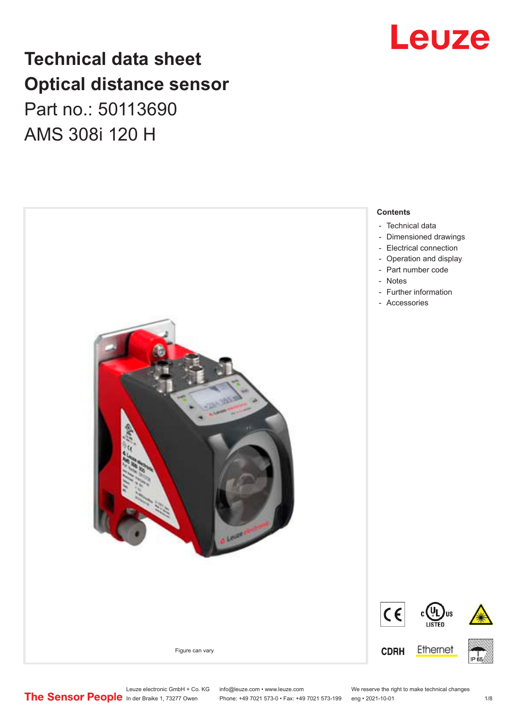## **Technical data sheet Optical distance sensor** Part no.: 50113690 AMS 308i 120 H



## Leuze

Leuze electronic GmbH + Co. KG info@leuze.com • www.leuze.com We reserve the right to make technical changes<br>
The Sensor People in der Braike 1, 73277 Owen Phone: +49 7021 573-0 • Fax: +49 7021 573-199 eng • 2021-10-01

Phone: +49 7021 573-0 • Fax: +49 7021 573-199 eng • 2021-10-01 1 2021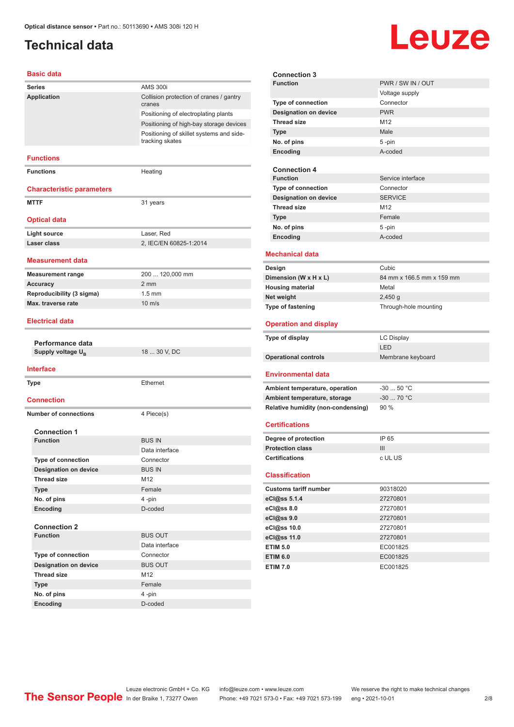### <span id="page-1-0"></span>**Technical data**

# Leuze

#### **Basic data**

| <b>Series</b>                          | <b>AMS 300i</b>                                             |  |
|----------------------------------------|-------------------------------------------------------------|--|
| Application                            | Collision protection of cranes / gantry                     |  |
|                                        | cranes                                                      |  |
|                                        | Positioning of electroplating plants                        |  |
|                                        | Positioning of high-bay storage devices                     |  |
|                                        | Positioning of skillet systems and side-<br>tracking skates |  |
| <b>Functions</b>                       |                                                             |  |
| <b>Functions</b>                       | Heating                                                     |  |
| <b>Characteristic parameters</b>       |                                                             |  |
| <b>MTTF</b>                            | 31 years                                                    |  |
|                                        |                                                             |  |
| <b>Optical data</b>                    |                                                             |  |
| <b>Light source</b>                    | Laser, Red                                                  |  |
| Laser class                            | 2, IEC/EN 60825-1:2014                                      |  |
|                                        |                                                             |  |
| Measurement data                       |                                                             |  |
| <b>Measurement range</b>               | 200  120,000 mm                                             |  |
| <b>Accuracy</b>                        | $2 \text{ mm}$                                              |  |
| Reproducibility (3 sigma)              | $1.5 \text{ mm}$                                            |  |
| Max. traverse rate                     | $10 \text{ m/s}$                                            |  |
| <b>Electrical data</b>                 |                                                             |  |
|                                        |                                                             |  |
| Performance data                       |                                                             |  |
| Supply voltage U <sub>B</sub>          | 18  30 V, DC                                                |  |
|                                        |                                                             |  |
| <b>Interface</b>                       |                                                             |  |
| <b>Type</b>                            | Ethernet                                                    |  |
|                                        |                                                             |  |
| <b>Connection</b>                      |                                                             |  |
| <b>Number of connections</b>           | 4 Piece(s)                                                  |  |
|                                        |                                                             |  |
| <b>Connection 1</b><br><b>Function</b> |                                                             |  |
|                                        | <b>BUS IN</b><br>Data interface                             |  |
| Type of connection                     | Connector                                                   |  |
| <b>Designation on device</b>           | <b>BUS IN</b>                                               |  |
| <b>Thread size</b>                     | M12                                                         |  |
| <b>Type</b>                            | Female                                                      |  |
| No. of pins                            | 4-pin                                                       |  |
| Encoding                               | D-coded                                                     |  |
|                                        |                                                             |  |
| <b>Connection 2</b>                    |                                                             |  |
| <b>Function</b>                        | <b>BUS OUT</b>                                              |  |
|                                        | Data interface                                              |  |
| <b>Type of connection</b>              | Connector                                                   |  |
| <b>Designation on device</b>           | <b>BUS OUT</b>                                              |  |
| <b>Thread size</b>                     | M12                                                         |  |
| <b>Type</b>                            | Female                                                      |  |
| No. of pins                            | 4-pin                                                       |  |
| Encoding                               | D-coded                                                     |  |

| <b>Connection 3</b>     |                                    |                           |  |
|-------------------------|------------------------------------|---------------------------|--|
|                         | <b>Function</b>                    | PWR / SW IN / OUT         |  |
|                         |                                    | Voltage supply            |  |
|                         | Type of connection                 | Connector                 |  |
|                         | <b>Designation on device</b>       | <b>PWR</b>                |  |
|                         | <b>Thread size</b>                 | M <sub>12</sub>           |  |
|                         | <b>Type</b>                        | Male                      |  |
|                         | No. of pins                        | 5-pin                     |  |
|                         | Encoding                           | A-coded                   |  |
|                         |                                    |                           |  |
|                         | <b>Connection 4</b>                |                           |  |
|                         | <b>Function</b>                    | Service interface         |  |
|                         | <b>Type of connection</b>          | Connector                 |  |
|                         | <b>Designation on device</b>       | <b>SERVICE</b>            |  |
|                         | <b>Thread size</b>                 | M <sub>12</sub>           |  |
|                         | <b>Type</b>                        | Female                    |  |
|                         | No. of pins                        | 5-pin                     |  |
|                         | Encoding                           | A-coded                   |  |
|                         |                                    |                           |  |
|                         | <b>Mechanical data</b>             |                           |  |
|                         | Design                             | Cubic                     |  |
|                         | Dimension (W x H x L)              | 84 mm x 166.5 mm x 159 mm |  |
| <b>Housing material</b> |                                    | Metal                     |  |
| Net weight              |                                    | 2,450q                    |  |
|                         | Type of fastening                  | Through-hole mounting     |  |
|                         |                                    |                           |  |
|                         |                                    |                           |  |
|                         | <b>Operation and display</b>       |                           |  |
|                         | Type of display                    | <b>LC Display</b>         |  |
|                         |                                    | LED                       |  |
|                         | <b>Operational controls</b>        | Membrane keyboard         |  |
|                         |                                    |                           |  |
|                         | <b>Environmental data</b>          |                           |  |
|                         | Ambient temperature, operation     | $-30$ 50 °C               |  |
|                         | Ambient temperature, storage       | $-30$ 70 °C               |  |
|                         | Relative humidity (non-condensing) | 90 %                      |  |
|                         | <b>Certifications</b>              |                           |  |
|                         |                                    |                           |  |
|                         | Degree of protection               | IP 65                     |  |
|                         | <b>Protection class</b>            | III                       |  |
|                         | <b>Certifications</b>              | c UL US                   |  |
|                         | <b>Classification</b>              |                           |  |
|                         |                                    |                           |  |
|                         | <b>Customs tariff number</b>       | 90318020                  |  |
|                         | eCl@ss 5.1.4                       | 27270801                  |  |
|                         | eCl@ss 8.0                         | 27270801                  |  |
|                         | eCl@ss 9.0                         | 27270801                  |  |
|                         | eCl@ss 10.0                        | 27270801                  |  |
|                         | eCl@ss 11.0                        | 27270801                  |  |
|                         | <b>ETIM 5.0</b>                    | EC001825                  |  |
|                         | <b>ETIM 6.0</b><br><b>ETIM 7.0</b> | EC001825<br>EC001825      |  |

Leuze electronic GmbH + Co. KG info@leuze.com • www.leuze.com We reserve the right to make technical changes In der Braike 1, 73277 Owen Phone: +49 7021 573-0 • Fax: +49 7021 573-199 eng • 2021-10-01 2 /8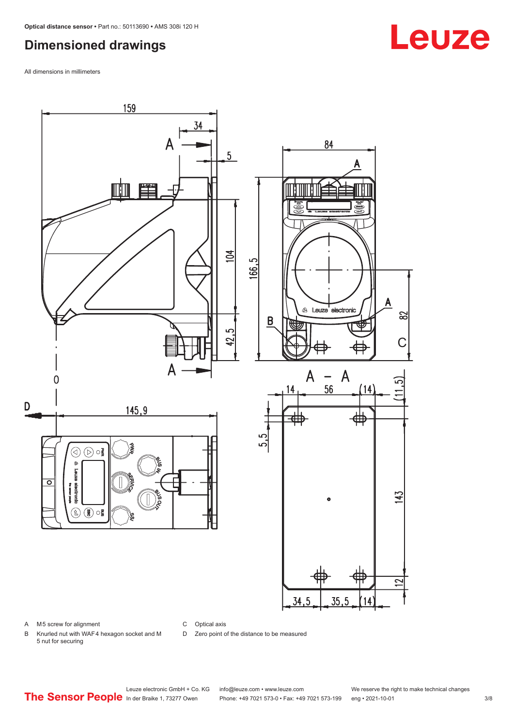#### <span id="page-2-0"></span>**Dimensioned drawings**

All dimensions in millimeters



A M5 screw for alignment

C Optical axis

D Zero point of the distance to be measured

B Knurled nut with WAF 4 hexagon socket and M 5 nut for securing

Leuze electronic GmbH + Co. KG info@leuze.com • www.leuze.com We reserve the right to make technical changes<br>
The Sensor People in der Braike 1, 73277 Owen Phone: +49 7021 573-0 • Fax: +49 7021 573-199 eng • 2021-10-01 Phone: +49 7021 573-0 • Fax: +49 7021 573-199 eng • 2021-10-01 3/8

## **Leuze**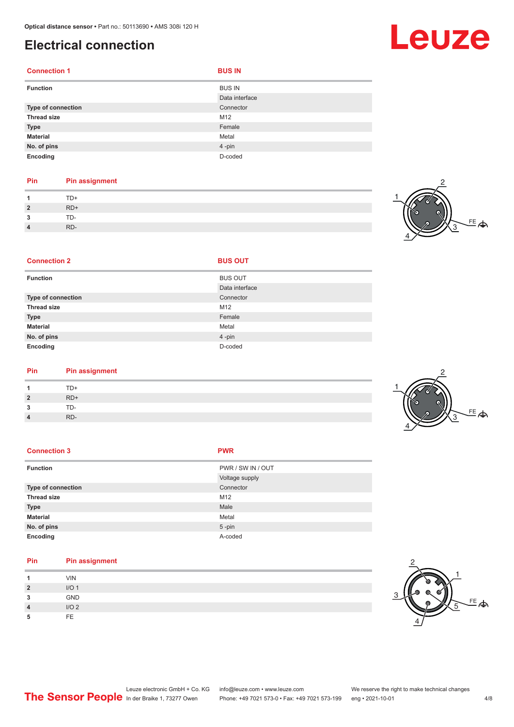#### <span id="page-3-0"></span>**Electrical connection**

| <b>Connection 1</b> | <b>BUS IN</b>                   |
|---------------------|---------------------------------|
| <b>Function</b>     | <b>BUS IN</b><br>Data interface |
| Type of connection  | Connector                       |
| <b>Thread size</b>  | M12                             |
| <b>Type</b>         | Female                          |
| <b>Material</b>     | Metal                           |
| No. of pins         | 4-pin                           |
| Encoding            | D-coded                         |

#### **Pin Pin assignment** 1 TD+<br>2 RD+ **2** RD+ **3** TD-**4** RD-

**Connection 2 BUS OUT** 



| <b>Function</b>    | <b>BUS OUT</b> |
|--------------------|----------------|
|                    | Data interface |
| Type of connection | Connector      |
| <b>Thread size</b> | M12            |
| <b>Type</b>        | Female         |
| <b>Material</b>    | Metal          |
| No. of pins        | 4-pin          |
| Encoding           | D-coded        |

|           | Pin | <b>Pin assignment</b> |
|-----------|-----|-----------------------|
| TD+<br>-1 |     |                       |

| $TD+$ |
|-------|
| $RD+$ |
| TD-   |
| RD-   |

| <b>Connection 3</b> | <b>PWR</b>        |
|---------------------|-------------------|
| <b>Function</b>     | PWR / SW IN / OUT |
|                     | Voltage supply    |
| Type of connection  | Connector         |
| <b>Thread size</b>  | M12               |
| <b>Type</b>         | Male              |
| <b>Material</b>     | Metal             |
| No. of pins         | $5 - pin$         |
| Encoding            | A-coded           |

| Pin          | <b>Pin assignment</b> |
|--------------|-----------------------|
|              | <b>VIN</b>            |
| $\mathbf{2}$ | I/O <sub>1</sub>      |
| 3            | <b>GND</b>            |
| 4            | I/O <sub>2</sub>      |
| ۰b           | <b>FE</b>             |



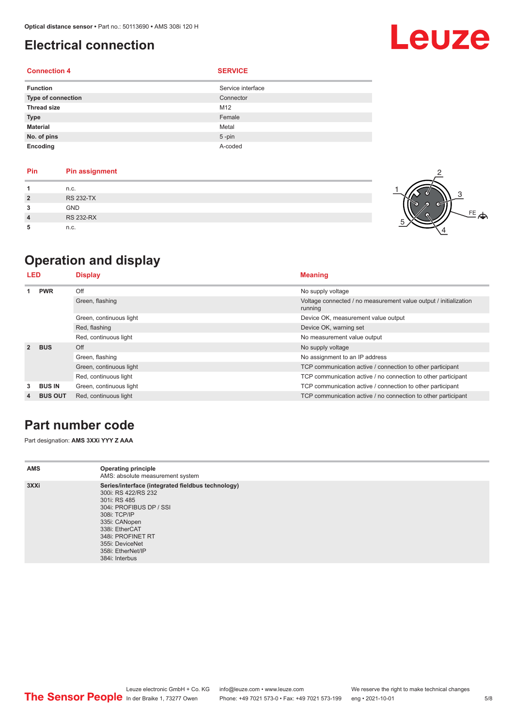### <span id="page-4-0"></span>**Electrical connection**

#### **Connection 4 SERVICE**

| <b>Function</b>    | Service interface |
|--------------------|-------------------|
| Type of connection | Connector         |
| <b>Thread size</b> | M12               |
| <b>Type</b>        | Female            |
| Material           | Metal             |
| No. of pins        | $5 - pin$         |
| Encoding           | A-coded           |

| Pin            | <b>Pin assignment</b> |
|----------------|-----------------------|
|                | n.c.                  |
| $\overline{2}$ | <b>RS 232-TX</b>      |
| 3              | <b>GND</b>            |
| 4              | <b>RS 232-RX</b>      |
| 5              | n.c.                  |



Leuze

### **Operation and display**

| LED            |                | <b>Display</b>          | <b>Meaning</b>                                                              |
|----------------|----------------|-------------------------|-----------------------------------------------------------------------------|
|                | <b>PWR</b>     | Off                     | No supply voltage                                                           |
|                |                | Green, flashing         | Voltage connected / no measurement value output / initialization<br>running |
|                |                | Green, continuous light | Device OK, measurement value output                                         |
|                |                | Red, flashing           | Device OK, warning set                                                      |
|                |                | Red, continuous light   | No measurement value output                                                 |
| $\overline{2}$ | <b>BUS</b>     | Off                     | No supply voltage                                                           |
|                |                | Green, flashing         | No assignment to an IP address                                              |
|                |                | Green, continuous light | TCP communication active / connection to other participant                  |
|                |                | Red, continuous light   | TCP communication active / no connection to other participant               |
| 3              | <b>BUS IN</b>  | Green, continuous light | TCP communication active / connection to other participant                  |
| 4              | <b>BUS OUT</b> | Red, continuous light   | TCP communication active / no connection to other participant               |

#### **Part number code**

Part designation: **AMS 3XXi YYY Z AAA**

| <b>AMS</b> | <b>Operating principle</b><br>AMS: absolute measurement system                                                                                                                                                                                        |
|------------|-------------------------------------------------------------------------------------------------------------------------------------------------------------------------------------------------------------------------------------------------------|
| 3XXi       | Series/interface (integrated fieldbus technology)<br>300i: RS 422/RS 232<br>301i: RS 485<br>304i: PROFIBUS DP / SSI<br>308i: TCP/IP<br>335i: CANopen<br>338i: EtherCAT<br>348i: PROFINET RT<br>355i: DeviceNet<br>358i: EtherNet/IP<br>384i: Interbus |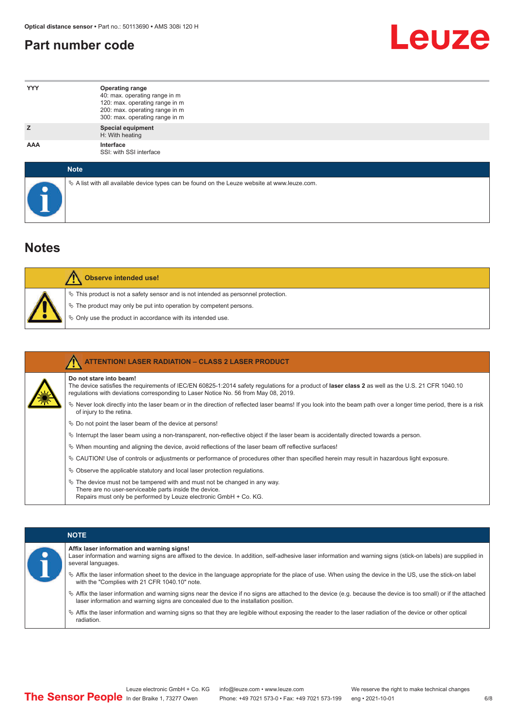#### <span id="page-5-0"></span>**Part number code**



| <b>YYY</b>  | <b>Operating range</b><br>40: max. operating range in m<br>120: max. operating range in m<br>200: max. operating range in m<br>300: max. operating range in m |
|-------------|---------------------------------------------------------------------------------------------------------------------------------------------------------------|
| z           | <b>Special equipment</b><br>H: With heating                                                                                                                   |
| AAA         | Interface<br>SSI: with SSI interface                                                                                                                          |
| <b>Note</b> |                                                                                                                                                               |

 $\%$  A list with all available device types can be found on the Leuze website at www.leuze.com.

#### **Notes**

| <b>Observe intended use!</b>                                                                                                                                                                                                     |
|----------------------------------------------------------------------------------------------------------------------------------------------------------------------------------------------------------------------------------|
| $\%$ This product is not a safety sensor and is not intended as personnel protection.<br>$\&$ The product may only be put into operation by competent persons.<br>$\%$ Only use the product in accordance with its intended use. |

|  | <b>ATTENTION! LASER RADIATION - CLASS 2 LASER PRODUCT</b>                                                                                                                                                                                                           |
|--|---------------------------------------------------------------------------------------------------------------------------------------------------------------------------------------------------------------------------------------------------------------------|
|  | Do not stare into beam!<br>The device satisfies the requirements of IEC/EN 60825-1:2014 safety regulations for a product of laser class 2 as well as the U.S. 21 CFR 1040.10<br>requlations with deviations corresponding to Laser Notice No. 56 from May 08, 2019. |
|  | $\%$ Never look directly into the laser beam or in the direction of reflected laser beams! If you look into the beam path over a longer time period, there is a risk<br>of injury to the retina.                                                                    |
|  | $\%$ Do not point the laser beam of the device at persons!                                                                                                                                                                                                          |
|  | $\%$ Interrupt the laser beam using a non-transparent, non-reflective object if the laser beam is accidentally directed towards a person.                                                                                                                           |
|  | $\%$ When mounting and aligning the device, avoid reflections of the laser beam off reflective surfaces!                                                                                                                                                            |
|  | $\&$ CAUTION! Use of controls or adjustments or performance of procedures other than specified herein may result in hazardous light exposure.                                                                                                                       |
|  | $\&$ Observe the applicable statutory and local laser protection regulations.                                                                                                                                                                                       |
|  | $\&$ The device must not be tampered with and must not be changed in any way.<br>There are no user-serviceable parts inside the device.<br>Repairs must only be performed by Leuze electronic GmbH + Co. KG.                                                        |

#### **NOTE**

#### **Affix laser information and warning signs!**

| Laser information and warning signs are affixed to the device. In addition, self-adhesive laser information and warning signs (stick-on labels) are supplied in |
|-----------------------------------------------------------------------------------------------------------------------------------------------------------------|
| several languages.                                                                                                                                              |

- ª Affix the laser information sheet to the device in the language appropriate for the place of use. When using the device in the US, use the stick-on label with the "Complies with 21 CFR 1040.10" note.
- ª Affix the laser information and warning signs near the device if no signs are attached to the device (e.g. because the device is too small) or if the attached laser information and warning signs are concealed due to the installation position.
- ª Affix the laser information and warning signs so that they are legible without exposing the reader to the laser radiation of the device or other optical radiation.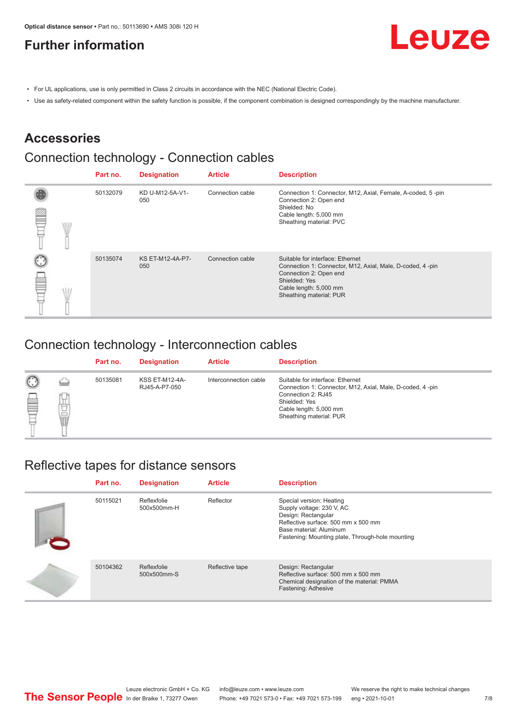### <span id="page-6-0"></span>**Further information**



- For UL applications, use is only permitted in Class 2 circuits in accordance with the NEC (National Electric Code).
- Use as safety-related component within the safety function is possible, if the component combination is designed correspondingly by the machine manufacturer.

#### **Accessories**

### Connection technology - Connection cables

|  | Part no. | <b>Designation</b>      | <b>Article</b>   | <b>Description</b>                                                                                                                                                                            |
|--|----------|-------------------------|------------------|-----------------------------------------------------------------------------------------------------------------------------------------------------------------------------------------------|
|  | 50132079 | KD U-M12-5A-V1-<br>050  | Connection cable | Connection 1: Connector, M12, Axial, Female, A-coded, 5-pin<br>Connection 2: Open end<br>Shielded: No<br>Cable length: 5,000 mm<br>Sheathing material: PVC                                    |
|  | 50135074 | KS ET-M12-4A-P7-<br>050 | Connection cable | Suitable for interface: Ethernet<br>Connection 1: Connector, M12, Axial, Male, D-coded, 4-pin<br>Connection 2: Open end<br>Shielded: Yes<br>Cable length: 5,000 mm<br>Sheathing material: PUR |

#### Connection technology - Interconnection cables

|                   |             | Part no. | <b>Designation</b>                     | <b>Article</b>        | <b>Description</b>                                                                                                                                                                        |
|-------------------|-------------|----------|----------------------------------------|-----------------------|-------------------------------------------------------------------------------------------------------------------------------------------------------------------------------------------|
| $\mathbb{C}$<br>≝ | щ<br>⊔<br>Ī | 50135081 | <b>KSS ET-M12-4A-</b><br>RJ45-A-P7-050 | Interconnection cable | Suitable for interface: Ethernet<br>Connection 1: Connector, M12, Axial, Male, D-coded, 4-pin<br>Connection 2: RJ45<br>Shielded: Yes<br>Cable length: 5,000 mm<br>Sheathing material: PUR |

#### Reflective tapes for distance sensors

| Part no. | <b>Designation</b>         | <b>Article</b>  | <b>Description</b>                                                                                                                                                                                 |
|----------|----------------------------|-----------------|----------------------------------------------------------------------------------------------------------------------------------------------------------------------------------------------------|
| 50115021 | Reflexfolie<br>500x500mm-H | Reflector       | Special version: Heating<br>Supply voltage: 230 V, AC<br>Design: Rectangular<br>Reflective surface: 500 mm x 500 mm<br>Base material: Aluminum<br>Fastening: Mounting plate, Through-hole mounting |
| 50104362 | Reflexfolie<br>500x500mm-S | Reflective tape | Design: Rectangular<br>Reflective surface: 500 mm x 500 mm<br>Chemical designation of the material: PMMA<br>Fastening: Adhesive                                                                    |